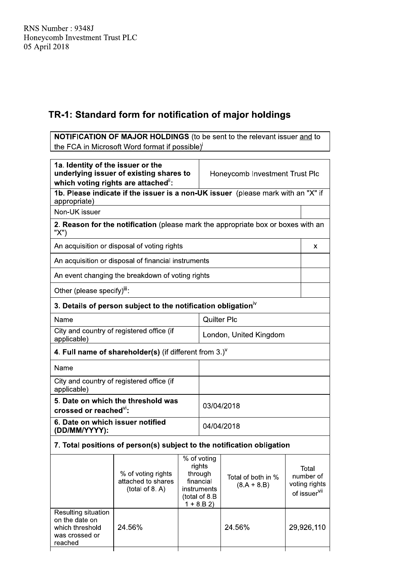| RNS Number: 9348J<br>Honeycomb Investment Trust PLC<br>05 April 2018                   |                                                                                                                                  |  |                                                                                              |                                     |  |                                                                 |
|----------------------------------------------------------------------------------------|----------------------------------------------------------------------------------------------------------------------------------|--|----------------------------------------------------------------------------------------------|-------------------------------------|--|-----------------------------------------------------------------|
|                                                                                        | TR-1: Standard form for notification of major holdings                                                                           |  |                                                                                              |                                     |  |                                                                 |
|                                                                                        | <b>NOTIFICATION OF MAJOR HOLDINGS</b> (to be sent to the relevant issuer and to<br>the FCA in Microsoft Word format if possible) |  |                                                                                              |                                     |  |                                                                 |
| 1a. Identity of the issuer or the                                                      | underlying issuer of existing shares to<br>which voting rights are attached":                                                    |  |                                                                                              | Honeycomb Investment Trust Plc      |  |                                                                 |
| appropriate)                                                                           | 1b. Please indicate if the issuer is a non-UK issuer (please mark with an "X" if                                                 |  |                                                                                              |                                     |  |                                                                 |
| Non-UK issuer                                                                          |                                                                                                                                  |  |                                                                                              |                                     |  |                                                                 |
| "X")                                                                                   | 2. Reason for the notification (please mark the appropriate box or boxes with an                                                 |  |                                                                                              |                                     |  |                                                                 |
|                                                                                        | An acquisition or disposal of voting rights                                                                                      |  |                                                                                              |                                     |  | X                                                               |
| An acquisition or disposal of financial instruments                                    |                                                                                                                                  |  |                                                                                              |                                     |  |                                                                 |
| An event changing the breakdown of voting rights                                       |                                                                                                                                  |  |                                                                                              |                                     |  |                                                                 |
| Other (please specify) <sup>iii</sup> :                                                |                                                                                                                                  |  |                                                                                              |                                     |  |                                                                 |
|                                                                                        | 3. Details of person subject to the notification obligation <sup>iv</sup>                                                        |  |                                                                                              |                                     |  |                                                                 |
| <b>Quilter Plc</b><br>Name                                                             |                                                                                                                                  |  |                                                                                              |                                     |  |                                                                 |
| applicable)                                                                            | City and country of registered office (if                                                                                        |  |                                                                                              | London, United Kingdom              |  |                                                                 |
|                                                                                        | 4. Full name of shareholder(s) (if different from $3.$ ) $V$                                                                     |  |                                                                                              |                                     |  |                                                                 |
| Name                                                                                   |                                                                                                                                  |  |                                                                                              |                                     |  |                                                                 |
| applicable)                                                                            | City and country of registered office (if                                                                                        |  |                                                                                              |                                     |  |                                                                 |
| 5. Date on which the threshold was<br>03/04/2018<br>crossed or reached <sup>vi</sup> : |                                                                                                                                  |  |                                                                                              |                                     |  |                                                                 |
| 6. Date on which issuer notified<br>04/04/2018<br>(DD/MM/YYYY):                        |                                                                                                                                  |  |                                                                                              |                                     |  |                                                                 |
|                                                                                        | 7. Total positions of person(s) subject to the notification obligation                                                           |  |                                                                                              |                                     |  |                                                                 |
|                                                                                        | % of voting rights<br>attached to shares<br>(total of 8. A)                                                                      |  | % of voting<br>rights<br>through<br>financial<br>instruments<br>(total of 8.B<br>$1 + 8.B 2$ | Total of both in %<br>$(8.A + 8.B)$ |  | Total<br>number of<br>voting rights<br>of issuer <sup>vii</sup> |
| Resulting situation<br>on the date on<br>which threshold<br>was crossed or<br>reached  | 24.56%                                                                                                                           |  |                                                                                              | 24.56%                              |  | 29,926,110                                                      |
|                                                                                        |                                                                                                                                  |  |                                                                                              |                                     |  |                                                                 |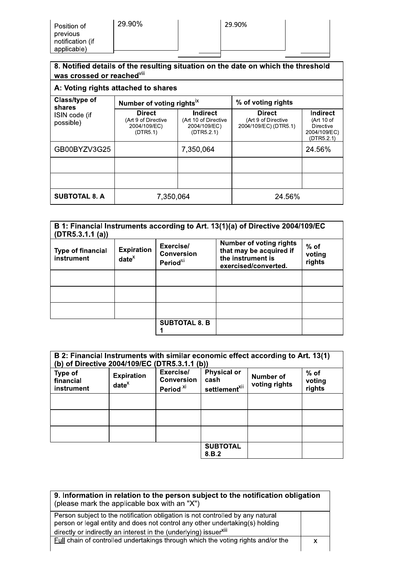| 8. Notified details of the resulting situation on the date on which the threshold<br>was crossed or reached <sup>viii</sup> |                                                                  |                                                                       |                                                               |                                                                   |
|-----------------------------------------------------------------------------------------------------------------------------|------------------------------------------------------------------|-----------------------------------------------------------------------|---------------------------------------------------------------|-------------------------------------------------------------------|
|                                                                                                                             | A: Voting rights attached to shares                              |                                                                       |                                                               |                                                                   |
| Class/type of<br>shares                                                                                                     | Number of voting rights <sup>ix</sup>                            |                                                                       | % of voting rights                                            |                                                                   |
| ISIN code (if<br>possible)                                                                                                  | <b>Direct</b><br>(Art 9 of Directive<br>2004/109/EC)<br>(DTR5.1) | <b>Indirect</b><br>(Art 10 of Directive<br>2004/109/EC)<br>(DTR5.2.1) | <b>Direct</b><br>(Art 9 of Directive<br>2004/109/EC) (DTR5.1) | Indirect<br>(Art 10 of<br>Directive<br>2004/109/EC)<br>(DTR5.2.1) |
| GB00BYZV3G25                                                                                                                |                                                                  | 7,350,064                                                             |                                                               | 24.56%                                                            |
|                                                                                                                             |                                                                  |                                                                       |                                                               |                                                                   |
|                                                                                                                             |                                                                  |                                                                       |                                                               |                                                                   |
| <b>SUBTOTAL 8. A</b>                                                                                                        | 7,350,064                                                        |                                                                       | 24.56%                                                        |                                                                   |

| (DTR5.3.1.1(a))                        |                               |                                                  | B 1: Financial Instruments according to Art. 13(1)(a) of Directive 2004/109/EC                         |                            |
|----------------------------------------|-------------------------------|--------------------------------------------------|--------------------------------------------------------------------------------------------------------|----------------------------|
| <b>Type of financial</b><br>instrument | <b>Expiration</b><br>$date^x$ | Exercise/<br><b>Conversion</b><br>Period $^{xi}$ | <b>Number of voting rights</b><br>that may be acquired if<br>the instrument is<br>exercised/converted. | $%$ of<br>voting<br>rights |
|                                        |                               |                                                  |                                                                                                        |                            |
|                                        |                               |                                                  |                                                                                                        |                            |
|                                        |                               |                                                  |                                                                                                        |                            |
|                                        |                               | <b>SUBTOTAL 8. B</b>                             |                                                                                                        |                            |

| B 2: Financial Instruments with similar economic effect according to Art. 13(1)<br>(b) of Directive 2004/109/EC (DTR5.3.1.1 (b)) |                               |                                                        |                                                         |                            |                            |
|----------------------------------------------------------------------------------------------------------------------------------|-------------------------------|--------------------------------------------------------|---------------------------------------------------------|----------------------------|----------------------------|
| <b>Type of</b><br>financial<br>instrument                                                                                        | <b>Expiration</b><br>$date^x$ | Exercise/<br><b>Conversion</b><br>Period <sup>xi</sup> | <b>Physical or</b><br>cash<br>settlement <sup>xii</sup> | Number of<br>voting rights | $%$ of<br>voting<br>rights |
|                                                                                                                                  |                               |                                                        |                                                         |                            |                            |
|                                                                                                                                  |                               |                                                        |                                                         |                            |                            |
|                                                                                                                                  |                               |                                                        |                                                         |                            |                            |
|                                                                                                                                  |                               |                                                        | <b>SUBTOTAL</b><br>8.B.2                                |                            |                            |

| 9. Information in relation to the person subject to the notification obligation<br>(please mark the applicable box with an "X")                                                                                                                 |  |
|-------------------------------------------------------------------------------------------------------------------------------------------------------------------------------------------------------------------------------------------------|--|
| Person subject to the notification obligation is not controlled by any natural<br>person or legal entity and does not control any other undertaking(s) holding<br>directly or indirectly an interest in the (underlying) issuer <sup>xiii</sup> |  |
| <b>Full chain of controlled undertakings through which the voting rights and/or the</b>                                                                                                                                                         |  |